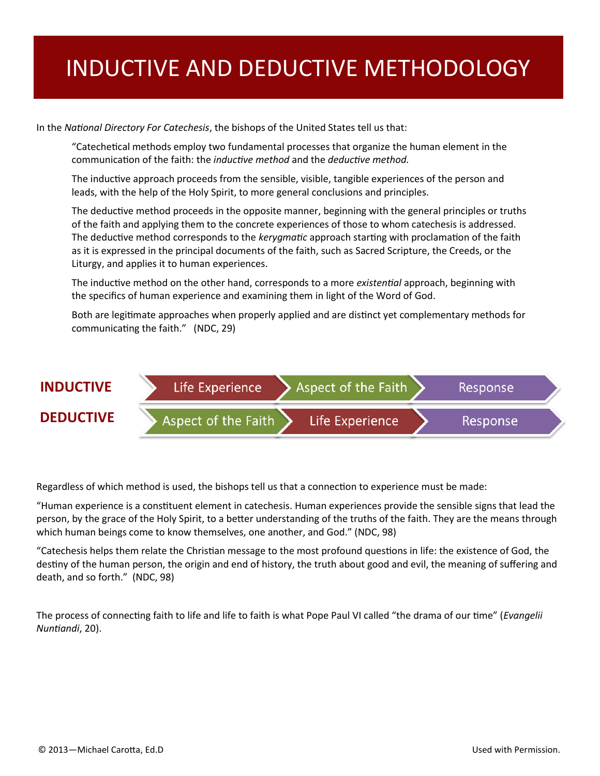# INDUCTIVE AND DEDUCTIVE METHODOLOGY

In the *National Directory For Catechesis*, the bishops of the United States tell us that:

"Catechetical methods employ two fundamental processes that organize the human element in the communication of the faith: the *inductive method* and the *deductive method.* 

The inductive approach proceeds from the sensible, visible, tangible experiences of the person and leads, with the help of the Holy Spirit, to more general conclusions and principles.

The deductive method proceeds in the opposite manner, beginning with the general principles or truths of the faith and applying them to the concrete experiences of those to whom catechesis is addressed. The deductive method corresponds to the *kerygmatic* approach starting with proclamation of the faith as it is expressed in the principal documents of the faith, such as Sacred Scripture, the Creeds, or the Liturgy, and applies it to human experiences.

The inductive method on the other hand, corresponds to a more *existential* approach, beginning with the specifics of human experience and examining them in light of the Word of God.

Both are legitimate approaches when properly applied and are distinct yet complementary methods for communicating the faith." (NDC, 29)



Regardless of which method is used, the bishops tell us that a connection to experience must be made:

"Human experience is a constituent element in catechesis. Human experiences provide the sensible signs that lead the person, by the grace of the Holy Spirit, to a better understanding of the truths of the faith. They are the means through which human beings come to know themselves, one another, and God." (NDC, 98)

"Catechesis helps them relate the Christian message to the most profound questions in life: the existence of God, the destiny of the human person, the origin and end of history, the truth about good and evil, the meaning of suffering and death, and so forth." (NDC, 98)

The process of connecting faith to life and life to faith is what Pope Paul VI called "the drama of our time" (*Evangelii Nuntiandi*, 20).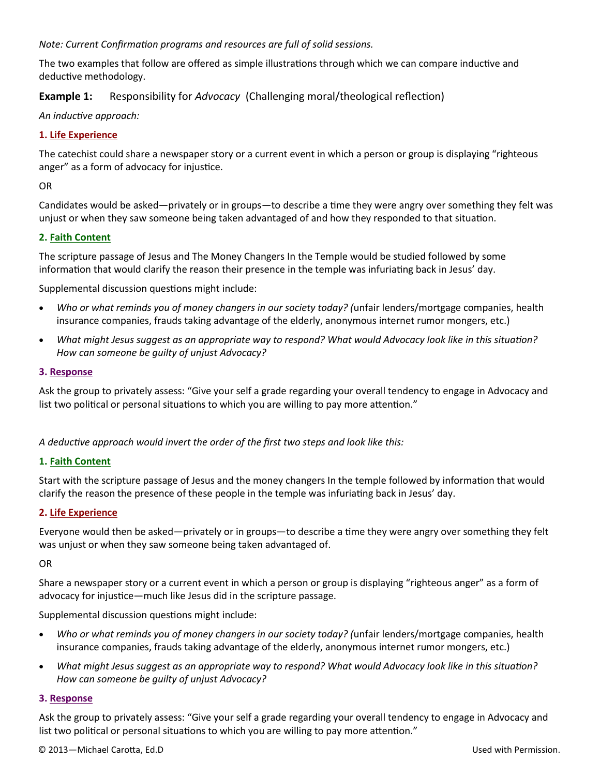### *Note: Current Confirmation programs and resources are full of solid sessions.*

The two examples that follow are offered as simple illustrations through which we can compare inductive and deductive methodology.

## **Example 1:** Responsibility for *Advocacy* (Challenging moral/theological reflection)

*An inductive approach:*

### **1. Life Experience**

The catechist could share a newspaper story or a current event in which a person or group is displaying "righteous anger" as a form of advocacy for injustice.

OR

Candidates would be asked—privately or in groups—to describe a time they were angry over something they felt was unjust or when they saw someone being taken advantaged of and how they responded to that situation.

#### **2. Faith Content**

The scripture passage of Jesus and The Money Changers In the Temple would be studied followed by some information that would clarify the reason their presence in the temple was infuriating back in Jesus' day.

Supplemental discussion questions might include:

- *Who or what reminds you of money changers in our society today? (*unfair lenders/mortgage companies, health insurance companies, frauds taking advantage of the elderly, anonymous internet rumor mongers, etc.)
- *What might Jesus suggest as an appropriate way to respond? What would Advocacy look like in this situation? How can someone be guilty of unjust Advocacy?*

#### **3. Response**

Ask the group to privately assess: "Give your self a grade regarding your overall tendency to engage in Advocacy and list two political or personal situations to which you are willing to pay more attention."

*A deductive approach would invert the order of the first two steps and look like this:*

### **1. Faith Content**

Start with the scripture passage of Jesus and the money changers In the temple followed by information that would clarify the reason the presence of these people in the temple was infuriating back in Jesus' day.

### **2. Life Experience**

Everyone would then be asked—privately or in groups—to describe a time they were angry over something they felt was unjust or when they saw someone being taken advantaged of.

OR

Share a newspaper story or a current event in which a person or group is displaying "righteous anger" as a form of advocacy for injustice—much like Jesus did in the scripture passage.

Supplemental discussion questions might include:

- *Who or what reminds you of money changers in our society today? (*unfair lenders/mortgage companies, health insurance companies, frauds taking advantage of the elderly, anonymous internet rumor mongers, etc.)
- *What might Jesus suggest as an appropriate way to respond? What would Advocacy look like in this situation? How can someone be guilty of unjust Advocacy?*

### **3. Response**

Ask the group to privately assess: "Give your self a grade regarding your overall tendency to engage in Advocacy and list two political or personal situations to which you are willing to pay more attention."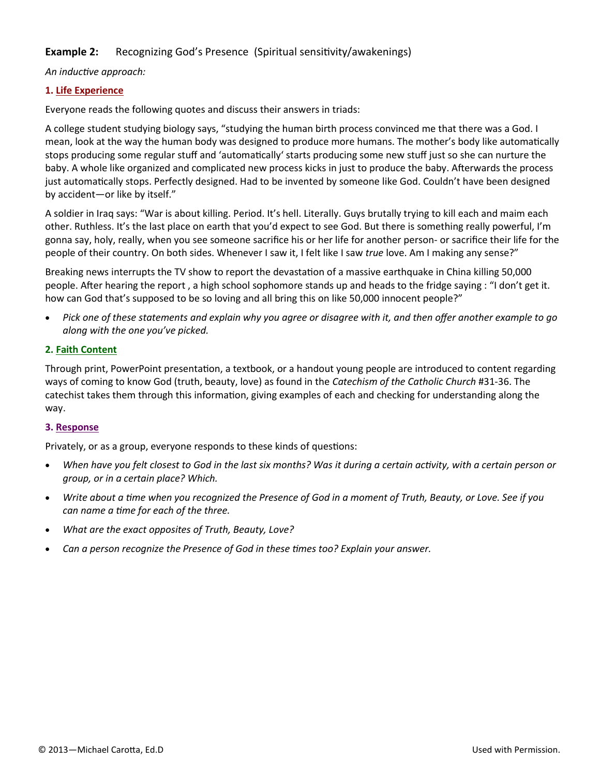# **Example 2:** Recognizing God's Presence (Spiritual sensitivity/awakenings)

### *An inductive approach:*

## **1. Life Experience**

Everyone reads the following quotes and discuss their answers in triads:

A college student studying biology says, "studying the human birth process convinced me that there was a God. I mean, look at the way the human body was designed to produce more humans. The mother's body like automatically stops producing some regular stuff and 'automatically' starts producing some new stuff just so she can nurture the baby. A whole like organized and complicated new process kicks in just to produce the baby. Afterwards the process just automatically stops. Perfectly designed. Had to be invented by someone like God. Couldn't have been designed by accident—or like by itself."

A soldier in Iraq says: "War is about killing. Period. It's hell. Literally. Guys brutally trying to kill each and maim each other. Ruthless. It's the last place on earth that you'd expect to see God. But there is something really powerful, I'm gonna say, holy, really, when you see someone sacrifice his or her life for another person- or sacrifice their life for the people of their country. On both sides. Whenever I saw it, I felt like I saw *true* love. Am I making any sense?"

Breaking news interrupts the TV show to report the devastation of a massive earthquake in China killing 50,000 people. After hearing the report , a high school sophomore stands up and heads to the fridge saying : "I don't get it. how can God that's supposed to be so loving and all bring this on like 50,000 innocent people?"

 *Pick one of these statements and explain why you agree or disagree with it, and then offer another example to go along with the one you've picked.*

## **2. Faith Content**

Through print, PowerPoint presentation, a textbook, or a handout young people are introduced to content regarding ways of coming to know God (truth, beauty, love) as found in the *Catechism of the Catholic Church* #31-36. The catechist takes them through this information, giving examples of each and checking for understanding along the way.

### **3. Response**

Privately, or as a group, everyone responds to these kinds of questions:

- *When have you felt closest to God in the last six months? Was it during a certain activity, with a certain person or group, or in a certain place? Which.*
- *Write about a time when you recognized the Presence of God in a moment of Truth, Beauty, or Love. See if you can name a time for each of the three.*
- *What are the exact opposites of Truth, Beauty, Love?*
- *Can a person recognize the Presence of God in these times too? Explain your answer.*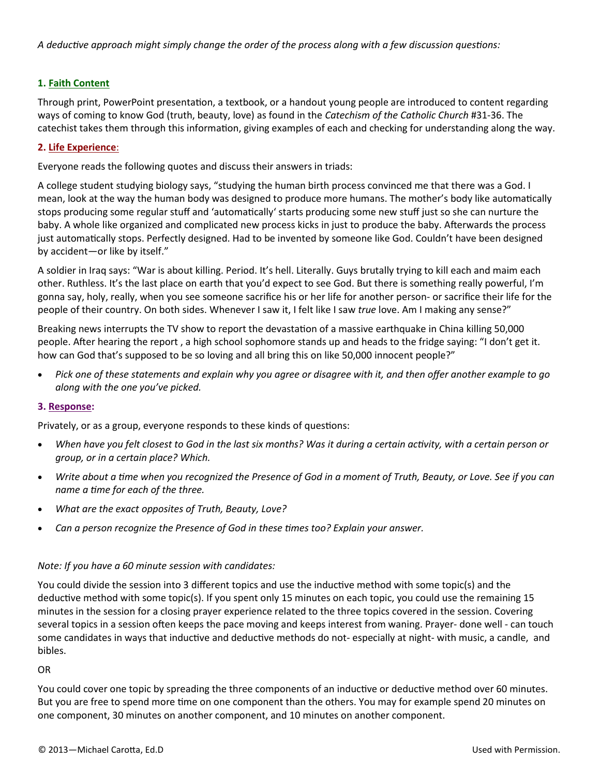## **1. Faith Content**

Through print, PowerPoint presentation, a textbook, or a handout young people are introduced to content regarding ways of coming to know God (truth, beauty, love) as found in the *Catechism of the Catholic Church* #31-36. The catechist takes them through this information, giving examples of each and checking for understanding along the way.

### **2. Life Experience**:

Everyone reads the following quotes and discuss their answers in triads:

A college student studying biology says, "studying the human birth process convinced me that there was a God. I mean, look at the way the human body was designed to produce more humans. The mother's body like automatically stops producing some regular stuff and 'automatically' starts producing some new stuff just so she can nurture the baby. A whole like organized and complicated new process kicks in just to produce the baby. Afterwards the process just automatically stops. Perfectly designed. Had to be invented by someone like God. Couldn't have been designed by accident—or like by itself."

A soldier in Iraq says: "War is about killing. Period. It's hell. Literally. Guys brutally trying to kill each and maim each other. Ruthless. It's the last place on earth that you'd expect to see God. But there is something really powerful, I'm gonna say, holy, really, when you see someone sacrifice his or her life for another person- or sacrifice their life for the people of their country. On both sides. Whenever I saw it, I felt like I saw *true* love. Am I making any sense?"

Breaking news interrupts the TV show to report the devastation of a massive earthquake in China killing 50,000 people. After hearing the report , a high school sophomore stands up and heads to the fridge saying: "I don't get it. how can God that's supposed to be so loving and all bring this on like 50,000 innocent people?"

 *Pick one of these statements and explain why you agree or disagree with it, and then offer another example to go along with the one you've picked.*

#### **3. Response:**

Privately, or as a group, everyone responds to these kinds of questions:

- *When have you felt closest to God in the last six months? Was it during a certain activity, with a certain person or group, or in a certain place? Which.*
- *Write about a time when you recognized the Presence of God in a moment of Truth, Beauty, or Love. See if you can name a time for each of the three.*
- *What are the exact opposites of Truth, Beauty, Love?*
- *Can a person recognize the Presence of God in these times too? Explain your answer.*

#### *Note: If you have a 60 minute session with candidates:*

You could divide the session into 3 different topics and use the inductive method with some topic(s) and the deductive method with some topic(s). If you spent only 15 minutes on each topic, you could use the remaining 15 minutes in the session for a closing prayer experience related to the three topics covered in the session. Covering several topics in a session often keeps the pace moving and keeps interest from waning. Prayer- done well - can touch some candidates in ways that inductive and deductive methods do not- especially at night- with music, a candle, and bibles.

OR

You could cover one topic by spreading the three components of an inductive or deductive method over 60 minutes. But you are free to spend more time on one component than the others. You may for example spend 20 minutes on one component, 30 minutes on another component, and 10 minutes on another component.